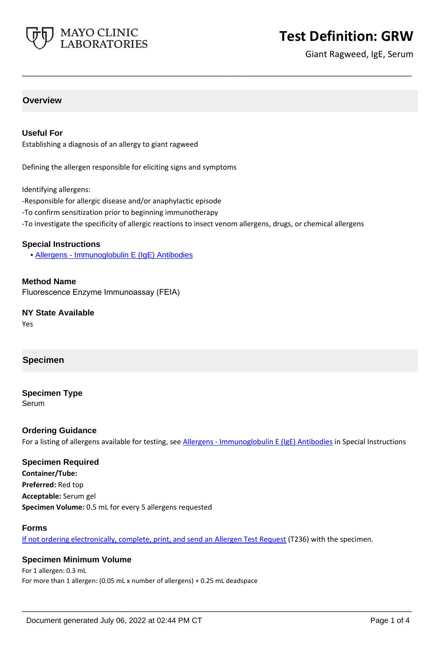

# **Test Definition: GRW**

Giant Ragweed, IgE, Serum

# **Overview**

#### **Useful For**

Establishing a diagnosis of an allergy to giant ragweed

Defining the allergen responsible for eliciting signs and symptoms

Identifying allergens:

- -Responsible for allergic disease and/or anaphylactic episode
- -To confirm sensitization prior to beginning immunotherapy
- -To investigate the specificity of allergic reactions to insect venom allergens, drugs, or chemical allergens

**\_\_\_\_\_\_\_\_\_\_\_\_\_\_\_\_\_\_\_\_\_\_\_\_\_\_\_\_\_\_\_\_\_\_\_\_\_\_\_\_\_\_\_\_\_\_\_\_\_\_\_**

#### **Special Instructions**

• [Allergens - Immunoglobulin E \(IgE\) Antibodies](https://www.mayocliniclabs.com/it-mmfiles/Allergens-IgE_Antibodies.pdf)

**Method Name** Fluorescence Enzyme Immunoassay (FEIA)

**NY State Available** Yes

#### **Specimen**

# **Specimen Type**

Serum

#### **Ordering Guidance**

For a listing of allergens available for testing, see [Allergens - Immunoglobulin E \(IgE\) Antibodies](https://www.mayocliniclabs.com/it-mmfiles/Allergens-IgE_Antibodies.pdf) in Special Instructions

# **Specimen Required**

**Container/Tube: Preferred:** Red top **Acceptable:** Serum gel **Specimen Volume:** 0.5 mL for every 5 allergens requested

#### **Forms**

If not ordering electronically, complete, print, and send an [Allergen Test Request](https://www.mayocliniclabs.com/it-mmfiles/allergen-test-request-form.pdf) (T236) with the specimen.

**\_\_\_\_\_\_\_\_\_\_\_\_\_\_\_\_\_\_\_\_\_\_\_\_\_\_\_\_\_\_\_\_\_\_\_\_\_\_\_\_\_\_\_\_\_\_\_\_\_\_\_**

#### **Specimen Minimum Volume**

For 1 allergen: 0.3 mL For more than 1 allergen: (0.05 mL x number of allergens) + 0.25 mL deadspace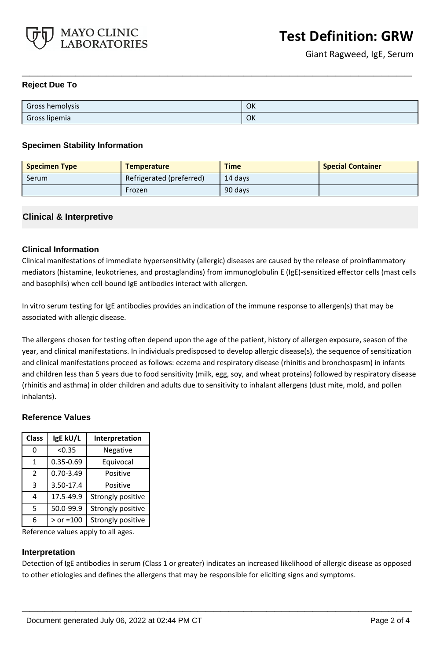

#### **Reject Due To**

| Gross hemolysis | OK |
|-----------------|----|
| Gross lipemia   | OK |

**\_\_\_\_\_\_\_\_\_\_\_\_\_\_\_\_\_\_\_\_\_\_\_\_\_\_\_\_\_\_\_\_\_\_\_\_\_\_\_\_\_\_\_\_\_\_\_\_\_\_\_**

#### **Specimen Stability Information**

| <b>Specimen Type</b> | <b>Temperature</b>       | <b>Time</b> | <b>Special Container</b> |
|----------------------|--------------------------|-------------|--------------------------|
| Serum                | Refrigerated (preferred) | 14 davs     |                          |
|                      | Frozen                   | 90 days     |                          |

## **Clinical & Interpretive**

## **Clinical Information**

Clinical manifestations of immediate hypersensitivity (allergic) diseases are caused by the release of proinflammatory mediators (histamine, leukotrienes, and prostaglandins) from immunoglobulin E (IgE)-sensitized effector cells (mast cells and basophils) when cell-bound IgE antibodies interact with allergen.

In vitro serum testing for IgE antibodies provides an indication of the immune response to allergen(s) that may be associated with allergic disease.

The allergens chosen for testing often depend upon the age of the patient, history of allergen exposure, season of the year, and clinical manifestations. In individuals predisposed to develop allergic disease(s), the sequence of sensitization and clinical manifestations proceed as follows: eczema and respiratory disease (rhinitis and bronchospasm) in infants and children less than 5 years due to food sensitivity (milk, egg, soy, and wheat proteins) followed by respiratory disease (rhinitis and asthma) in older children and adults due to sensitivity to inhalant allergens (dust mite, mold, and pollen inhalants).

#### **Reference Values**

| <b>Class</b>  | IgE kU/L      | Interpretation    |
|---------------|---------------|-------------------|
| 0             | < 0.35        | Negative          |
| 1             | 0.35-0.69     | Equivocal         |
| $\mathcal{P}$ | $0.70 - 3.49$ | Positive          |
| 3             | 3.50-17.4     | Positive          |
| 4             | 17.5-49.9     | Strongly positive |
| 5             | 50.0-99.9     | Strongly positive |
| 6             | $>$ or =100   | Strongly positive |

Reference values apply to all ages.

#### **Interpretation**

Detection of IgE antibodies in serum (Class 1 or greater) indicates an increased likelihood of allergic disease as opposed to other etiologies and defines the allergens that may be responsible for eliciting signs and symptoms.

**\_\_\_\_\_\_\_\_\_\_\_\_\_\_\_\_\_\_\_\_\_\_\_\_\_\_\_\_\_\_\_\_\_\_\_\_\_\_\_\_\_\_\_\_\_\_\_\_\_\_\_**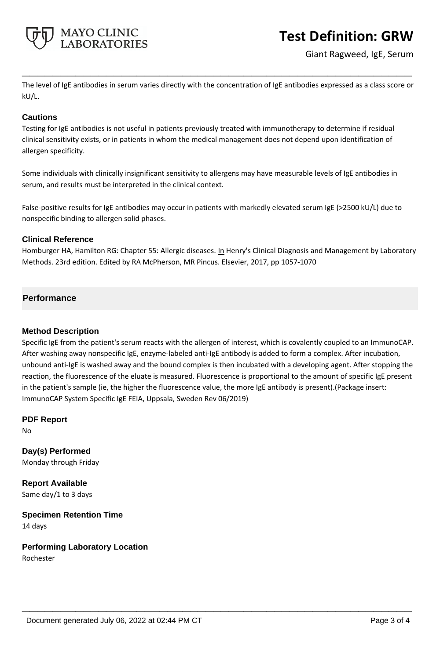

# **Test Definition: GRW**

Giant Ragweed, IgE, Serum

The level of IgE antibodies in serum varies directly with the concentration of IgE antibodies expressed as a class score or kU/L.

**\_\_\_\_\_\_\_\_\_\_\_\_\_\_\_\_\_\_\_\_\_\_\_\_\_\_\_\_\_\_\_\_\_\_\_\_\_\_\_\_\_\_\_\_\_\_\_\_\_\_\_**

## **Cautions**

Testing for IgE antibodies is not useful in patients previously treated with immunotherapy to determine if residual clinical sensitivity exists, or in patients in whom the medical management does not depend upon identification of allergen specificity.

Some individuals with clinically insignificant sensitivity to allergens may have measurable levels of IgE antibodies in serum, and results must be interpreted in the clinical context.

False-positive results for IgE antibodies may occur in patients with markedly elevated serum IgE (>2500 kU/L) due to nonspecific binding to allergen solid phases.

## **Clinical Reference**

Homburger HA, Hamilton RG: Chapter 55: Allergic diseases. In Henry's Clinical Diagnosis and Management by Laboratory Methods. 23rd edition. Edited by RA McPherson, MR Pincus. Elsevier, 2017, pp 1057-1070

## **Performance**

#### **Method Description**

Specific IgE from the patient's serum reacts with the allergen of interest, which is covalently coupled to an ImmunoCAP. After washing away nonspecific IgE, enzyme-labeled anti-IgE antibody is added to form a complex. After incubation, unbound anti-IgE is washed away and the bound complex is then incubated with a developing agent. After stopping the reaction, the fluorescence of the eluate is measured. Fluorescence is proportional to the amount of specific IgE present in the patient's sample (ie, the higher the fluorescence value, the more IgE antibody is present).(Package insert: ImmunoCAP System Specific IgE FEIA, Uppsala, Sweden Rev 06/2019)

**\_\_\_\_\_\_\_\_\_\_\_\_\_\_\_\_\_\_\_\_\_\_\_\_\_\_\_\_\_\_\_\_\_\_\_\_\_\_\_\_\_\_\_\_\_\_\_\_\_\_\_**

**PDF Report** No

**Day(s) Performed** Monday through Friday

**Report Available** Same day/1 to 3 days

**Specimen Retention Time** 14 days

**Performing Laboratory Location** Rochester